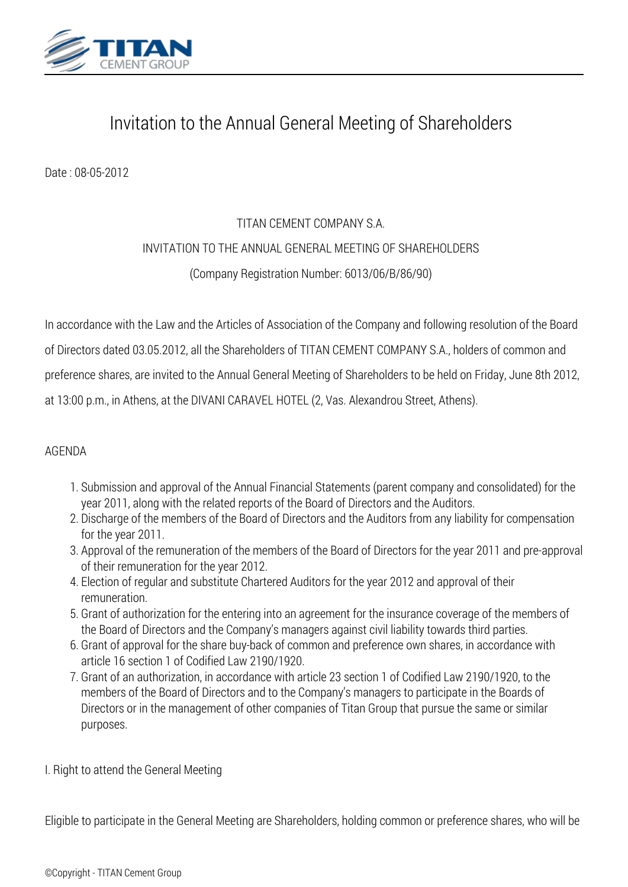

# *Invitation to the Annual General Meeting of Shareholders*

*Date : 08-05-2012*

## *TITAN CEMENT COMPANY S.A.*

### *INVITATION TO THE ANNUAL GENERAL MEETING OF SHAREHOLDERS*

#### *(Company Registration Number: 6013/06/B/86/90)*

*In accordance with the Law and the Articles of Association of the Company and following resolution of the Board*

*of Directors dated 03.05.2012, all the Shareholders of TITAN CEMENT COMPANY S.A., holders of common and*

*preference shares, are invited to the Annual General Meeting of Shareholders to be held on Friday, June 8th 2012,*

*at 13:00 p.m., in Athens, at the DIVANI CARAVEL HOTEL (2, Vas. Alexandrou Street, Athens).*

#### *AGENDA*

- *1. Submission and approval of the Annual Financial Statements (parent company and consolidated) for the year 2011, along with the related reports of the Board of Directors and the Auditors.*
- *2. Discharge of the members of the Board of Directors and the Auditors from any liability for compensation for the year 2011.*
- *3. Approval of the remuneration of the members of the Board of Directors for the year 2011 and pre-approval of their remuneration for the year 2012.*
- *4. Election of regular and substitute Chartered Auditors for the year 2012 and approval of their remuneration.*
- *5. Grant of authorization for the entering into an agreement for the insurance coverage of the members of the Board of Directors and the Company's managers against civil liability towards third parties.*
- *6. Grant of approval for the share buy-back of common and preference own shares, in accordance with article 16 section 1 of Codified Law 2190/1920.*
- *7. Grant of an authorization, in accordance with article 23 section 1 of Codified Law 2190/1920, to the members of the Board of Directors and to the Company's managers to participate in the Boards of Directors or in the management of other companies of Titan Group that pursue the same or similar purposes.*

#### *Ι. Right to attend the General Meeting*

*Eligible to participate in the General Meeting are Shareholders, holding common or preference shares, who will be*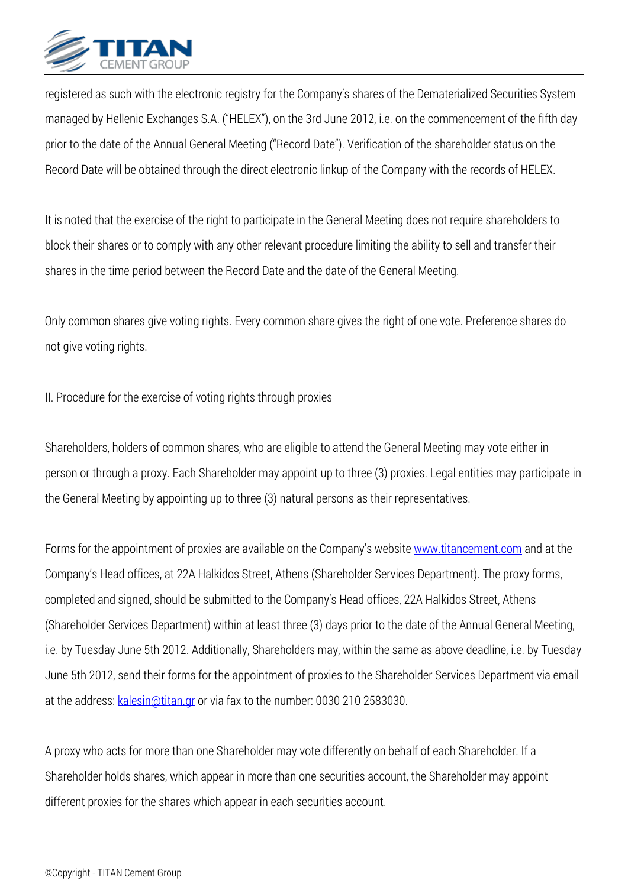

*registered as such with the electronic registry for the Company's shares of the Dematerialized Securities System managed by Hellenic Exchanges S.A. ("HELEX"), on the 3rd June 2012, i.e. on the commencement of the fifth day prior to the date of the Annual General Meeting ("Record Date"). Verification of the shareholder status on the Record Date will be obtained through the direct electronic linkup of the Company with the records of HELEX.*

*It is noted that the exercise of the right to participate in the General Meeting does not require shareholders to block their shares or to comply with any other relevant procedure limiting the ability to sell and transfer their shares in the time period between the Record Date and the date of the General Meeting.*

*Only common shares give voting rights. Every common share gives the right of one vote. Preference shares do not give voting rights.*

*ΙΙ. Procedure for the exercise of voting rights through proxies*

*Shareholders, holders of common shares, who are eligible to attend the General Meeting may vote either in person or through a proxy. Each Shareholder may appoint up to three (3) proxies. Legal entities may participate in the General Meeting by appointing up to three (3) natural persons as their representatives.*

*Forms for the appointment of proxies are available on the Company's website <i>www.titancement.com* and at the *Company's Head offices, at 22A Halkidos Street, Athens (Shareholder Services Department). The proxy forms, completed and signed, should be submitted to the Company's Head offices, 22A Halkidos Street, Athens (Shareholder Services Department) within at least three (3) days prior to the date of the Annual General Meeting, i.e. by Tuesday June 5th 2012. Additionally, Shareholders may, within the same as above deadline, i.e. by Tuesday June 5th 2012, send their forms for the appointment of proxies to the Shareholder Services Department via email at the address: kalesin@titan.gr or via fax to the number: 0030 210 2583030.*

*A proxy who acts for more than one Shareholder may vote differently on behalf of each Shareholder. If a Shareholder holds shares, which appear in more than one securities account, the Shareholder may appoint different proxies for the shares which appear in each securities account.*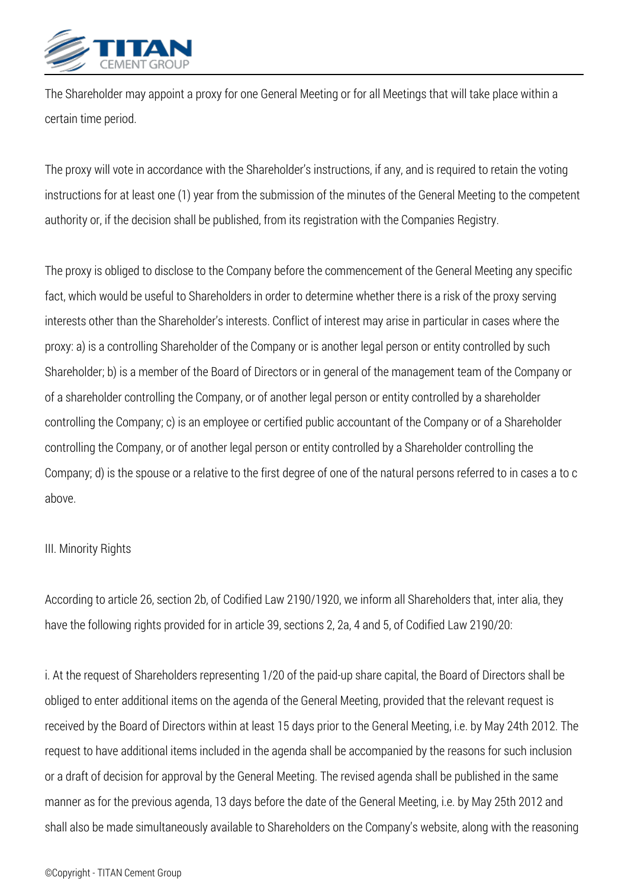

*The Shareholder may appoint a proxy for one General Meeting or for all Meetings that will take place within a certain time period.*

*The proxy will vote in accordance with the Shareholder's instructions, if any, and is required to retain the voting instructions for at least one (1) year from the submission of the minutes of the General Meeting to the competent authority or, if the decision shall be published, from its registration with the Companies Registry.*

*The proxy is obliged to disclose to the Company before the commencement of the General Meeting any specific fact, which would be useful to Shareholders in order to determine whether there is a risk of the proxy serving interests other than the Shareholder's interests. Conflict of interest may arise in particular in cases where the proxy: a) is a controlling Shareholder of the Company or is another legal person or entity controlled by such Shareholder; b) is a member of the Board of Directors or in general of the management team of the Company or of a shareholder controlling the Company, or of another legal person or entity controlled by a shareholder controlling the Company; c) is an employee or certified public accountant of the Company or of a Shareholder controlling the Company, or of another legal person or entity controlled by a Shareholder controlling the Company; d) is the spouse or a relative to the first degree of one of the natural persons referred to in cases a to c above.*

#### *ΙΙΙ. Minority Rights*

*According to article 26, section 2b, of Codified Law 2190/1920, we inform all Shareholders that, inter alia, they have the following rights provided for in article 39, sections 2, 2a, 4 and 5, of Codified Law 2190/20:*

*i. At the request of Shareholders representing 1/20 of the paid-up share capital, the Board of Directors shall be obliged to enter additional items on the agenda of the General Meeting, provided that the relevant request is received by the Board of Directors within at least 15 days prior to the General Meeting, i.e. by May 24th 2012. The request to have additional items included in the agenda shall be accompanied by the reasons for such inclusion or a draft of decision for approval by the General Meeting. The revised agenda shall be published in the same manner as for the previous agenda, 13 days before the date of the General Meeting, i.e. by May 25th 2012 and shall also be made simultaneously available to Shareholders on the Company's website, along with the reasoning*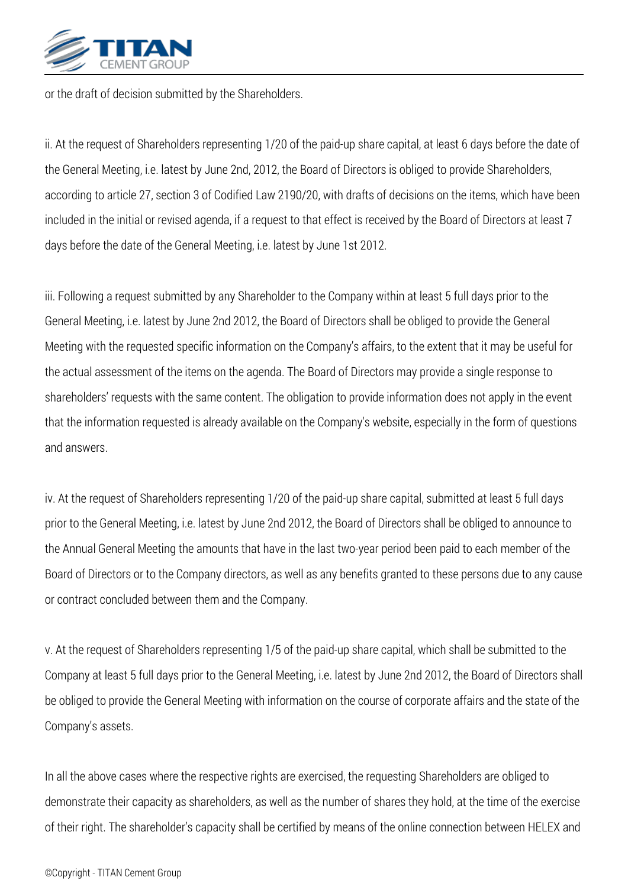

*or the draft of decision submitted by the Shareholders.*

*ii. At the request of Shareholders representing 1/20 of the paid-up share capital, at least 6 days before the date of the General Meeting, i.e. latest by June 2nd, 2012, the Board of Directors is obliged to provide Shareholders, according to article 27, section 3 of Codified Law 2190/20, with drafts of decisions on the items, which have been included in the initial or revised agenda, if a request to that effect is received by the Board of Directors at least 7 days before the date of the General Meeting, i.e. latest by June 1st 2012.*

*iii. Following a request submitted by any Shareholder to the Company within at least 5 full days prior to the General Meeting, i.e. latest by June 2nd 2012, the Board of Directors shall be obliged to provide the General Meeting with the requested specific information on the Company's affairs, to the extent that it may be useful for the actual assessment of the items on the agenda. The Board of Directors may provide a single response to shareholders' requests with the same content. The obligation to provide information does not apply in the event that the information requested is already available on the Company's website, especially in the form of questions and answers.*

*iv. At the request of Shareholders representing 1/20 of the paid-up share capital, submitted at least 5 full days prior to the General Meeting, i.e. latest by June 2nd 2012, the Board of Directors shall be obliged to announce to the Annual General Meeting the amounts that have in the last two-year period been paid to each member of the Board of Directors or to the Company directors, as well as any benefits granted to these persons due to any cause or contract concluded between them and the Company.*

*v. At the request of Shareholders representing 1/5 of the paid-up share capital, which shall be submitted to the Company at least 5 full days prior to the General Meeting, i.e. latest by June 2nd 2012, the Board of Directors shall be obliged to provide the General Meeting with information on the course of corporate affairs and the state of the Company's assets.*

*In all the above cases where the respective rights are exercised, the requesting Shareholders are obliged to demonstrate their capacity as shareholders, as well as the number of shares they hold, at the time of the exercise of their right. The shareholder's capacity shall be certified by means of the online connection between HELEX and*